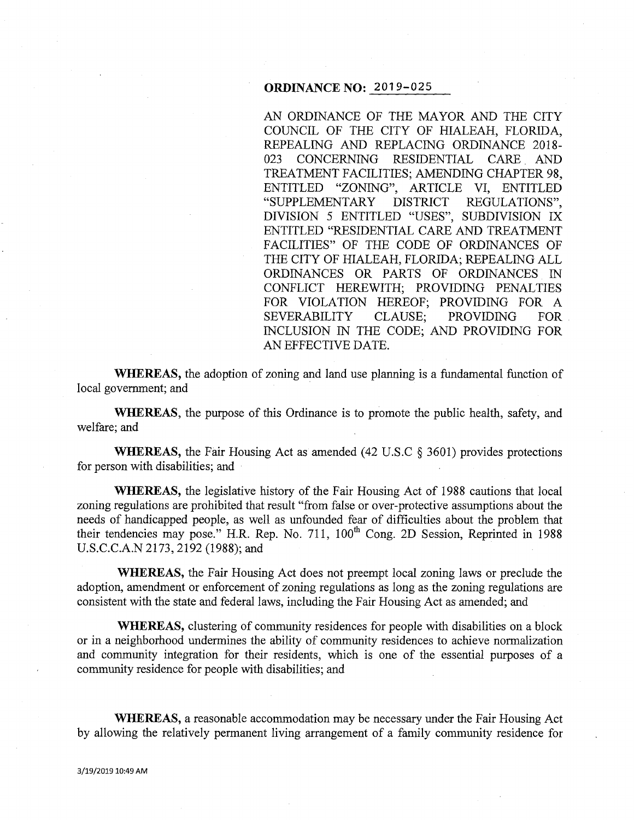## **ORDINANCE NO:** 2019-025

AN ORDINANCE OF THE MAYOR AND THE CITY COUNCIL OF THE CITY OF HIALEAH, FLORIDA, REPEALING AND REPLACING ORDINANCE 2018- 023 CONCERNING RESIDENTIAL CARE AND TREATMENT FACILITIES; AMENDING CHAPTER 98, ENTITLED "ZONING", ARTICLE VI, ENTITLED "SUPPLEMENTARY DISTRICT REGULATIONS", DIVISION 5 ENTITLED "USES", SUBDIVISION IX ENTITLED "RESIDENTIAL CARE AND TREATMENT FACILITIES" OF THE CODE OF ORDINANCES OF THE CITY OF HIALEAH, FLORIDA; REPEALING ALL ORDINANCES OR PARTS OF ORDINANCES IN CONFLICT HEREWITH; PROVIDING PENALTIES FOR VIOLATION HEREOF; PROVIDING FOR A SEVERABILITY CLAUSE; PROVIDING FOR INCLUSION IN THE CODE; AND PROVIDING FOR AN EFFECTIVE DATE.

**WHEREAS,** the adoption of zoning and land use planning is a fundamental function of local government; and

**WHEREAS,** the purpose of this Ordinance is to promote the public health, safety, and welfare; and

**WHEREAS,** the Fair Housing Act as amended (42 U.S.C § 3601) provides protections for person with disabilities; and

**WHEREAS,** the legislative history of the Fair Housing Act of 1988 cautions that local zoning regulations are prohibited that result "from false or over-protective assumptions about the needs of handicapped people, as well as unfounded fear of difficulties about the problem that their tendencies may pose." H.R. Rep. No. 711, 100<sup>th</sup> Cong. 2D Session, Reprinted in 1988 U.S.C.C.A.N 2173, 2192 (1988); and

**WHEREAS,** the Fair Housing Act does not preempt local zoning laws or preclude the adoption, amendment or enforcement of zoning regulations as long as the zoning regulations are consistent with the state and federal laws, including the Fair Housing Act as amended; and

**WHEREAS,** clustering of community residences for people with disabilities on a block or in a neighborhood undermines the ability of community residences to achieve normalization and community integration for their residents, which is one of the essential purposes of a community residence for people with disabilities; and

**WHEREAS,** a reasonable accommodation may be necessary under the Fair Housing Act by allowing the relatively permanent living arrangement of a family community residence for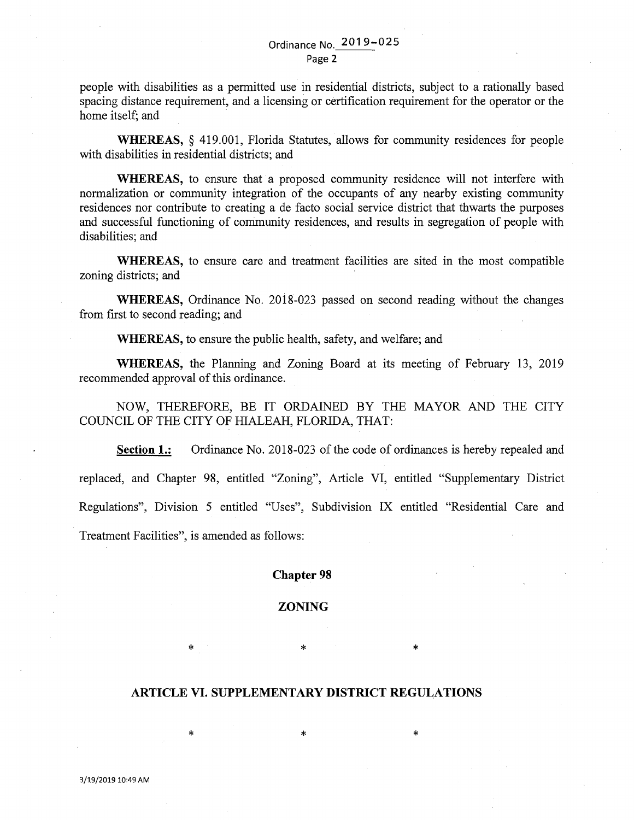people with disabilities as a permitted use in residential districts, subject to a rationally based spacing distance requirement, and a licensing or certification requirement for the operator or the home itself; and

**WHEREAS,** § 419.001, Florida Statutes, allows for community residences for people with disabilities in residential districts; and

**WHEREAS,** to ensure that a proposed community residence will not interfere with normalization or community integration of the occupants of any nearby existing community residences nor contribute to creating a de facto social service district that thwarts the purposes and successful functioning of community residences, and results in segregation of people with disabilities; and

**WHEREAS,** to ensure care and treatment facilities are sited in the most compatible zoning districts; and

**WHEREAS,** Ordinance No. 2018-023 passed on second reading without the changes from first to second reading; and

**WHEREAS,** to ensure the public health, safety, and welfare; and

**WHEREAS,** the Planning and Zoning Board at its meeting of February 13, 2019 recommended approval of this ordinance.

NOW, THEREFORE, BE IT ORDAINED BY THE MAYOR AND THE CITY COUNCIL OF THE CITY OF HIALEAH, FLORIDA, THAT:

**Section 1.:** Ordinance No. 2018-023 of the code of ordinances is hereby repealed and replaced, and Chapter 98, entitled "Zoning", Article VI, entitled "Supplementary District Regulations", Division 5 entitled "Uses", Subdivision IX entitled "Residential Care and Treatment Facilities", is amended as follows:

#### **Chapter 98**

#### **ZONING**

#### **ARTICLE VI. SUPPLEMENTARY DISTRICT REGULATIONS**

 $*$  \*  $*$  \*  $*$ 

\* \* \*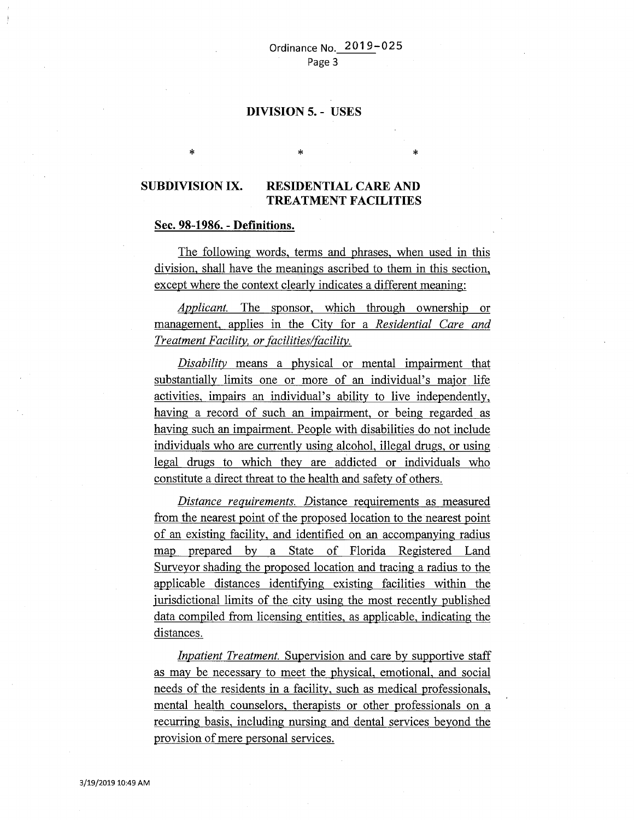\* \*

### **DIVISION 5.- USES**

# **SUBDIVISION IX. RESIDENTIAL CARE AND TREATMENT FACILITIES**

#### **Sec. 98-1986. - Definitions.**

\*

The following words, terms and phrases, when used in this division, shall have the meanings ascribed to them in this section, except where the context clearly indicates a different meaning:

*Applicant.* The sponsor, which through ownership or management, applies in the City for a *Residential Care and*  **Treatment Facility, or facilities/facility.** 

*Disability* means a physical or mental impairment that substantially limits one or more of an individual's major life activities, impairs an individual's ability to live independently, having a record of such an impairment, or being regarded as having such an impairment. People with disabilities do not include individuals who are currently using alcohol, illegal drugs, or using legal drugs to which they are addicted or individuals who constitute a direct threat to the health and safety of others.

*Distance requirements.* Distance requirements as measured from the nearest point of the proposed location to the nearest point of an existing facility, and identified on an accompanying radius map prepared by a State of Florida Registered Land Surveyor shading the proposed location and tracing a radius to the applicable distances identifying existing facilities within the jurisdictional limits of the city using the most recently published data compiled from licensing entities, as applicable, indicating the distances.

*Inpatient Treatment.* Supervision and care by supportive staff as may be necessary to meet the physical, emotional, and social needs of the residents in a facility, such as medical professionals, mental health counselors, therapists or other professionals on a recurring basis, including nursing and dental services beyond the provision of mere personal services.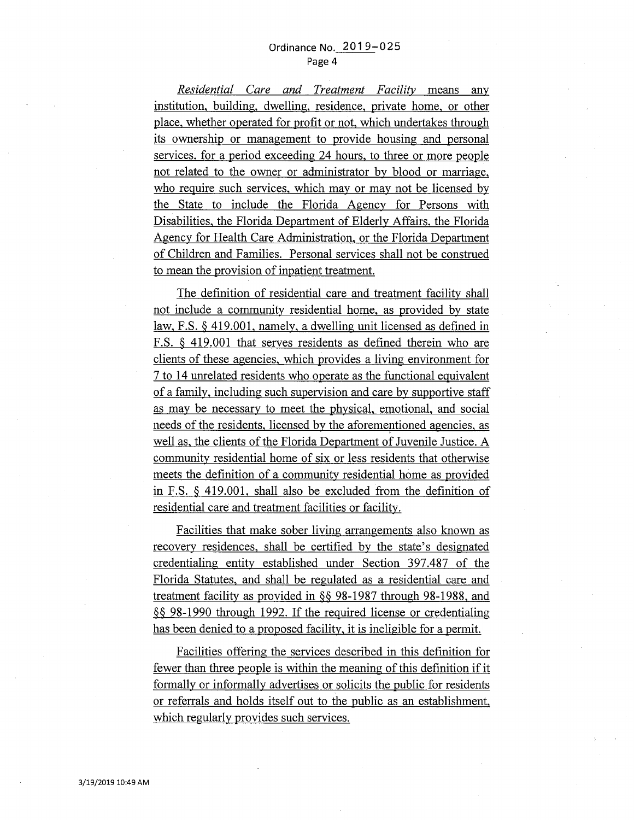*Residential Care and Treatment Facility* means any institution, building, dwelling, residence, private home, or other place, whether operated for profit or not, which undertakes through its ownership or management to provide housing and personal services, for a period exceeding 24 hours, to three or more people not related to the owner or administrator by blood or marriage, who require such services, which may or may not be licensed by the State to include the Florida Agency for Persons with Disabilities, the Florida Department of Elderly Affairs, the Florida Agency for Health Care Administration, or the Florida Department of Children and Families. Personal services shall not be construed to mean the provision of inpatient treatment.

The definition of residential care and treatment facility shall not include a community residential home, as provided by state law, F.S. § 419.001, namely, a dwelling unit licensed as defined in F.S. § 419.001 that serves residents as defined therein who are clients of these agencies, which provides a living environment for 7 to 14 unrelated residents who operate as the functional equivalent of a family, including such supervision and care by supportive staff as may be necessary to meet the physical, emotional, and social needs of the residents, licensed by the aforementioned agencies, as well as, the clients of the Florida Department of Juvenile Justice. A community residential home of six or less residents that otherwise meets the definition of a community residential home as provided in F.S. § 419.001, shall also be excluded from the definition of residential care and treatment facilities or facility.

Facilities that make sober living arrangements also known as recovery residences, shall be certified by the state's designated credentialing entity established under Section 397.487 of the Florida Statutes, and shall be regulated as a residential care and treatment facility as provided in§§ 98-1987 through 98-1988, and §§ 98-1990 through 1992. If the required license or credentialing has been denied to a proposed facility, it is ineligible for a permit.

Facilities offering the services described in this definition for fewer than three people is within the meaning of this definition if it formally or informally advertises or solicits the public for residents or referrals and holds itself out to the public as an establishment, which regularly provides such services.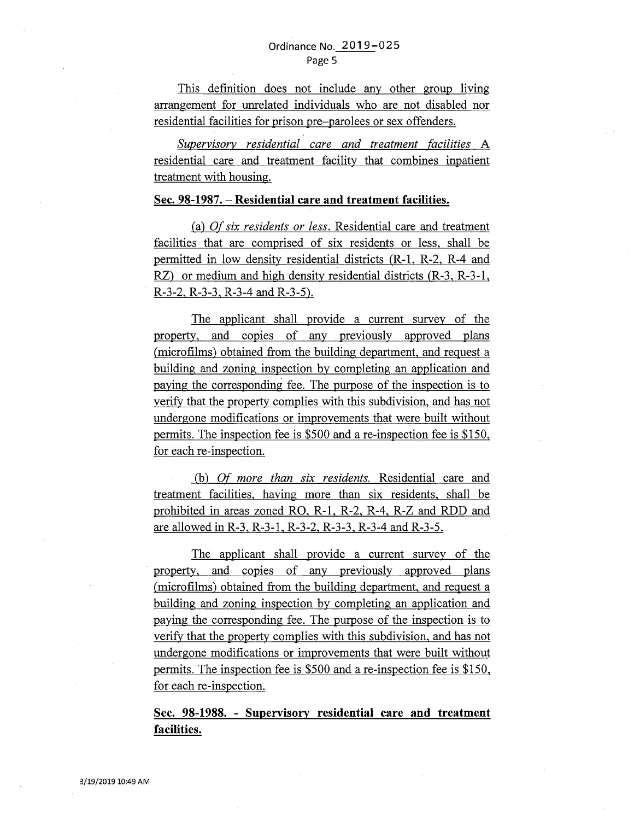This definition does not include any other group living arrangement for unrelated individuals who are not disabled nor residential facilities for prison pre-parolees or sex offenders.

*Supervisory residential care and treatment facilities* A residential care and treatment facility that combines inpatient treatment with housing.

# Sec. 98-1987. – Residential care and treatment facilities.

(a) *Of six residents or less.* Residential care and treatment facilities that are comprised of six residents or less, shall be permitted in low density residential districts (R-1, R-2, R-4 and RZ) or medium and high density residential districts (R-3, R-3-1, R-3-2, R-3-3, R-3-4 and R-3-5).

The applicant shall provide a current survey of the property, and copies of any previously approved plans (microfilms) obtained from the building department, and request a building and zoning inspection by completing an application and paying the corresponding fee. The purpose of the inspection is to verify that the property complies with this subdivision, and has not undergone modifications or improvements that were built without permits. The inspection fee is \$500 and are-inspection fee is \$150, for each re-inspection.

(b) *Of more than six residents.* Residential care and treatment facilities, having more than six residents, shall be prohibited in areas zoned RO, R-1, R-2, R-4, R-Z and RDD and are allowed in R-3, R-3-1, R-3-2, R-3-3, R-3-4 and R-3-5.

The applicant shall provide a current survey of the property, and copies of any previously approved plans (microfilms) obtained from the building department, and request a building and zoning inspection by completing an application and paying the corresponding fee. The purpose of the inspection is to verify that the property complies with this subdivision, and has not undergone modifications or improvements that were built without permits. The inspection fee is \$500 and are-inspection fee is \$150, for each re-inspection.

**Sec. 98-1988. - Supervisory residential care and treatment facilities.**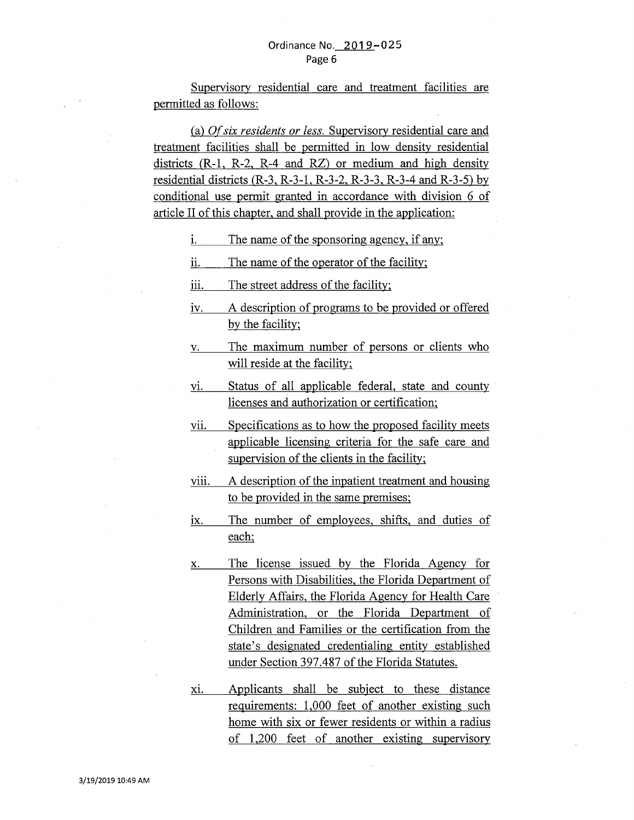Supervisory residential care and treatment facilities are permitted as follows:

(a) *Of six residents or less.* Supervisory residential care and treatment facilities shall be permitted in low density residential districts (R-1, R-2, R-4 and RZ) or medium and high density residential districts (R-3, R-3-1, R-3-2, R-3-3, R-3-4 and R-3-5) by conditional use permit granted in accordance with division 6 of article II of this chapter, and shall provide in the application:

- i. The name of the sponsoring agency, if any;
- ii. The name of the operator of the facility;
- iii. The street address of the facility;
- iv. A description of programs to be provided or offered by the facility;
- v. The maximum number of persons or clients who will reside at the facility;
- vi. Status of all applicable federal, state and county licenses and authorization or certification;
- vii. Specifications as to how the proposed facility meets applicable licensing criteria for the safe care and supervision of the clients in the facility;
- viii. A description of the inpatient treatment and housing to be provided in the same premises;
- ix. The number of employees, shifts, and duties of each;
- x. The license issued by the Florida Agency for Persons with Disabilities, the Florida Department of Elderly Affairs, the Florida Agency for Health Care Administration, or the Florida Department of Children and Families or the certification from the state's designated credentialing entity established under Section 397.487 of the Florida Statutes.
- xi. Applicants shall be subject to these distance requirements: 1,000 feet of another existing such home with six or fewer residents or within a radius of 1,200 feet of another existing supervisory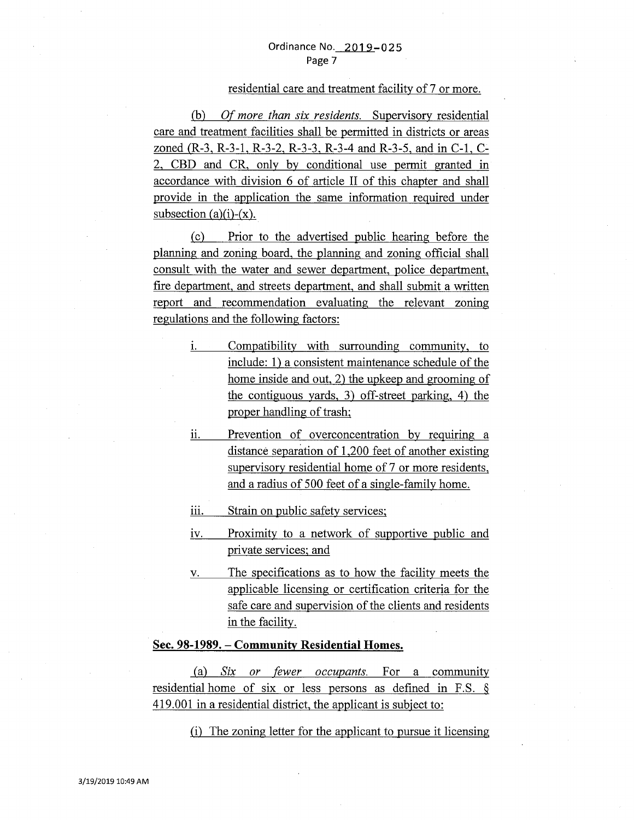#### residential care and treatment facility of 7 or more.

(b) *Of more than six residents.* Supervisory residential care and treatment facilities shall be permitted in districts or areas zoned (R-3, R-3-1, R-3-2, R-3-3, R-3-4 and R-3-5, and in C-1, C-2, CBD and CR, only by conditional use permit granted in accordance with division 6 of article II of this chapter and shall provide in the application the same information required under subsection  $(a)(i)-(x)$ .

(c) Prior to the advertised public hearing before the planning and zoning board, the planning and zoning official shall consult with the water and sewer department, police department, fire department, and streets department, and shall submit a written report and recommendation evaluating the relevant zoning regulations and the following factors:

- 1. Compatibility with surrounding community, to include: 1) a consistent maintenance schedule of the home inside and out, 2) the upkeep and grooming of the contiguous yards, 3) off-street parking, 4) the proper handling of trash;
- ii. Prevention of overconcentration by requiring a distance separation of 1,200 feet of another existing supervisory residential home of 7 or more residents, and a radius of 500 feet of a single-family home.
- iii. Strain on public safety services;
- iv. Proximity to a network of supportive public and private services; and
- v. The specifications as to how the facility meets the applicable licensing or certification criteria for the safe care and supervision of the clients and residents in the facility.

### **Sec. 98-1989.- Community Residential Homes.**

(a) *Six or fewer occupants.* For a community residential home of six or less persons as defined in F.S. § 419.001 in a residential district, the applicant is subject to:

(i) The zoning letter for the applicant to pursue it licensing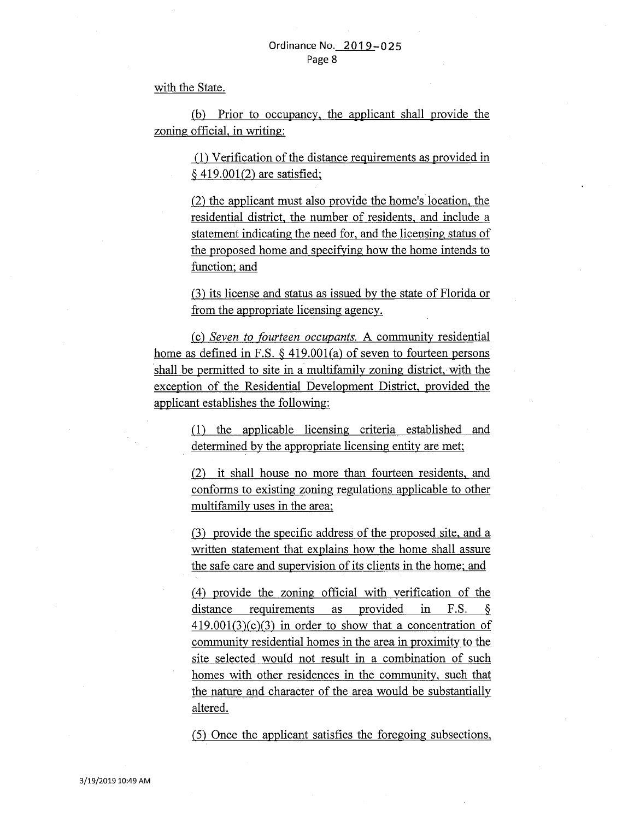with the State.

(b) Prior to occupancy, the applicant shall provide the zoning official, in writing:

> $(1)$  Verification of the distance requirements as provided in § 419.001(2) are satisfied;

> $(2)$  the applicant must also provide the home's location, the residential district, the number of residents, and include a statement indicating the need for, and the licensing status of the proposed home and specifying how the home intends to function; and

> (3) its license and status as issued by the state of Florida or from the appropriate licensing agency.

(c) *Seven to fourteen occupants.* A community residential home as defined in F.S. § 419.001(a) of seven to fourteen persons shall be permitted to site in a multifamily zoning district, with the exception of the Residential Development District, provided the applicant establishes the following:

> (1) the applicable licensing criteria established and determined by the appropriate licensing entity are met;

> (2) it shall house no more than fourteen residents, and conforms to existing zoning regulations applicable to other multifamily uses in the area;

> (3) provide the specific address of the proposed site, and a written statement that explains how the home shall assure the safe care and supervision of its clients in the home; and

> (4) provide the zoning official with verification of the distance requirements as provided in F.S.  $\S$  $419.001(3)(c)(3)$  in order to show that a concentration of community residential homes in the area in proximity to the site selected would not result in a combination of such homes with other residences in the community, such that the nature and character of the area would be substantially altered.

> (5) Once the applicant satisfies the foregoing subsections,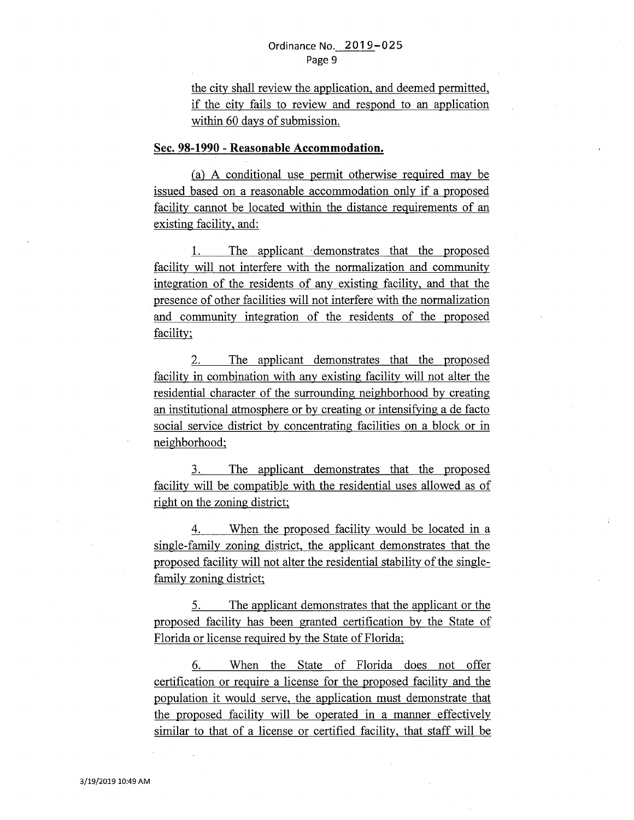the city shall review the application, and deemed permitted, if the city fails to review and respond to an application within 60 days of submission.

#### **Sec. 98-1990 - Reasonable Accommodation.**

(a) A conditional use permit otherwise required may be issued based on a reasonable accommodation only if a proposed facility cannot be located within the distance requirements of an existing facility, and:

1. The applicant ·demonstrates that the proposed facility will not interfere with the normalization and community integration of the residents of any existing facility, and that the presence of other facilities will not interfere with the normalization and community integration of the residents of the proposed facility;

2. The applicant demonstrates that the proposed facility in combination with any existing facility will not alter the residential character of the surrounding neighborhood by creating an institutional atmosphere or by creating or intensifying a de facto social service district by concentrating facilities on a block or in neighborhood;

3. The applicant demonstrates that the proposed facility will be compatible with the residential uses allowed as of right on the zoning district;

4. When the proposed facility would be located in a single-family zoning district, the applicant demonstrates that the proposed facility will not alter the residential stability of the singlefamily zoning district;

5. The applicant demonstrates that the applicant or the proposed facility has been granted certification by the State of Florida or license required by the State of Florida;

6. When the State of Florida does not offer certification or require a license for the proposed facility and the population it would serve, the application must demonstrate that the proposed facility will be operated in a manner effectively similar to that of a license or certified facility, that staff will be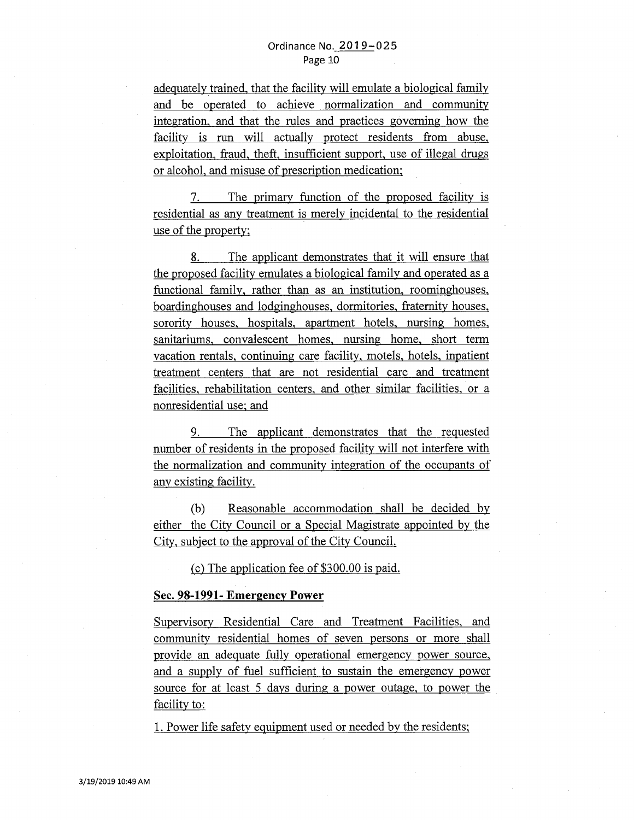adequately trained, that the facility will emulate a biological family and be operated to achieve normalization and community integration, and that the rules and practices governing how the facility is run will actually protect residents from abuse, exploitation, fraud, theft, insufficient support, use of illegal drugs or alcohol, and misuse of prescription medication;

7. The primary function of the proposed facility is residential as any treatment is merely incidental to the residential use of the property;

8. The applicant demonstrates that it will ensure that the proposed facility emulates a biological family and operated as a functional family, rather than as an institution, roominghouses, boardinghouses and lodginghouses, dormitories, fraternity houses, sorority houses, hospitals, apartment hotels, nursing homes, sanitariums, convalescent homes, nursing home, short term vacation rentals, continuing care facility, motels, hotels, inpatient treatment centers that are not residential care and treatment facilities, rehabilitation centers, and other similar facilities, or a nonresidential use; and

9. The applicant demonstrates that the requested number of residents in the proposed facility will not interfere with the normalization and community integration of the occupants of any existing facility.

(b) Reasonable accommodation shall be decided by either the City Council or a Special Magistrate appointed by the City, subject to the approval of the City Council.

(c) The application fee of \$300.00 is paid.

### **Sec. 98-1991- Emergency Power**

Supervisory Residential Care and Treatment Facilities, and community residential homes of seven persons or more shall provide an adequate fully operational emergency power source, and a supply of fuel sufficient *to* sustain the emergency power source for at least 5 days during a power outage, to power the facility to:

1. Power life safety equipment used or needed by the residents;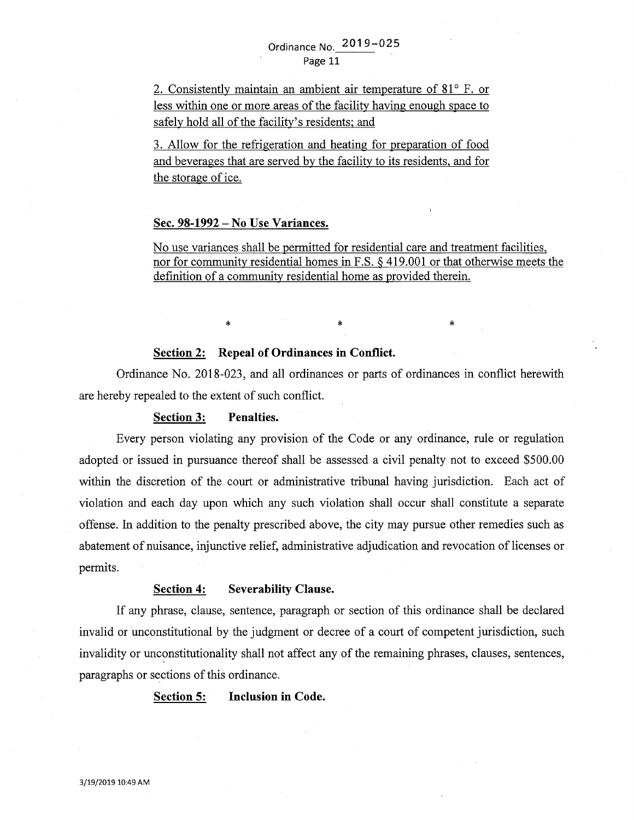2. Consistently maintain an ambient air temperature of  $81^\circ$  F. or less within one or more areas of the facility having enough space to safely hold all of the facility's residents; and

3. Allow for the refrigeration and heating for preparation of food and beverages that are served by the facility to its residents, and for the storage of ice.

#### **Sec. 98-1992- No Use Variances.**

No use variances shall be permitted for residential care and treatment facilities, nor for community residential homes in F.S. § 419.001 or that otherwise meets the definition of a community residential home as provided therein.

 $\begin{matrix} * & * \ * & * \end{matrix}$ 

#### **Section 2: Repeal of Ordinances in Conflict.**

Ordinance No. 2018-023, and all ordinances or parts of ordinances in conflict herewith are hereby repealed to the extent of such conflict.

### **Section 3: Penalties.**

Every person violating any provision of the Code or any ordinance, rule or regulation adopted or issued in pursuance thereof shall be assessed a civil penalty not to exceed \$500.00 within the discretion of the court or administrative tribunal having jurisdiction. Each act of violation and each day upon which any such violation shall occur shall constitute a separate offense. In addition to the penalty prescribed above, the city may pursue other remedies such as abatement of nuisance, injunctive relief, administrative adjudication and revocation of licenses or permits.

#### **Section 4: Severability Clause.**

If any phrase, clause, sentence, paragraph or section of this ordinance shall be declared invalid or unconstitutional by the judgment or decree of a court of competent jurisdiction, such invalidity or unconstitutionality shall not affect any of the remaining phrases, clauses, sentences, paragraphs or sections of this ordinance.

### **Section 5: Inclusion in Code.**